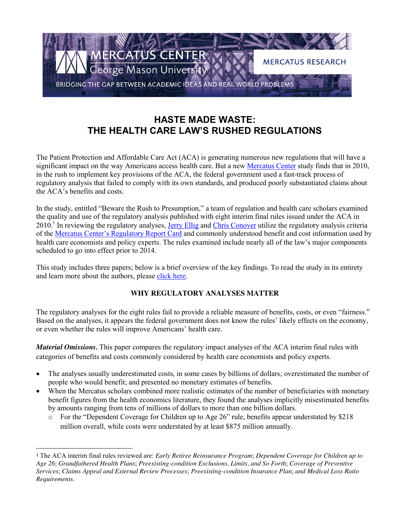

## **HASTE MADE WASTE: THE HEALTH CARE LAW'S RUSHED REGULATIONS**

The Patient Protection and Affordable Care Act (ACA) is generating numerous new regulations that will have a significant impact on the way Americans access health care. But a new [Mercatus Center](http://www.mercatus.org/) study finds that in 2010, in the rush to implement key provisions of the ACA, the federal government used a fast-track process of regulatory analysis that failed to comply with its own standards, and produced poorly substantiated claims about the ACA's benefits and costs.

In the study, entitled "Beware the Rush to Presumption," a team of regulation and health care scholars examined the quality and use of the regulatory analysis published with eight interim final rules issued under the ACA in 2010.<sup>1</sup> In reviewing the regulatory analyses, [Jerry Ellig](http://mercatus.org/jerry-ellig) and [Chris Conover](http://mercatus.org/christopher-j-conover) utilize the regulatory analysis criteria of the [Mercatus Center's Regulatory Report Card](http://mercatus.org/reportcard) and commonly understood benefit and cost information used by health care economists and policy experts. The rules examined include nearly all of the law's major components scheduled to go into effect prior to 2014.

This study includes three papers; below is a brief overview of the key findings. To read the study in its entirety and learn more about the authors, please [click here.](http://mercatus.org/reportcards/projects/patient-protection-and-affordable-care-act)

## **WHY REGULATORY ANALYSES MATTER**

The regulatory analyses for the eight rules fail to provide a reliable measure of benefits, costs, or even "fairness." Based on the analyses, it appears the federal government does not know the rules' likely effects on the economy, or even whether the rules will improve Americans' health care.

*Material Omissions.* This paper compares the regulatory impact analyses of the ACA interim final rules with categories of benefits and costs commonly considered by health care economists and policy experts.

- The analyses usually underestimated costs, in some cases by billions of dollars; overestimated the number of people who would benefit; and presented no monetary estimates of benefits.
- When the Mercatus scholars combined more realistic estimates of the number of beneficiaries with monetary benefit figures from the health economics literature, they found the analyses implicitly misestimated benefits by amounts ranging from tens of millions of dollars to more than one billion dollars.
	- o For the "Dependent Coverage for Children up to Age 26" rule, benefits appear understated by \$218 million overall, while costs were understated by at least \$875 million annually.

 <sup>1</sup> The ACA interim final rules reviewed are: *Early Retiree Reinsurance Program*; *Dependent Coverage for Children up to Age 26*; *Grandfathered Health Plans*; *Preexisting-condition Exclusions, Limits, and So Forth*; *Coverage of Preventive Services*; *Claims Appeal and External Review Processes*; *Preexisting-condition Insurance Plan*; *and Medical Loss Ratio Requirements*.